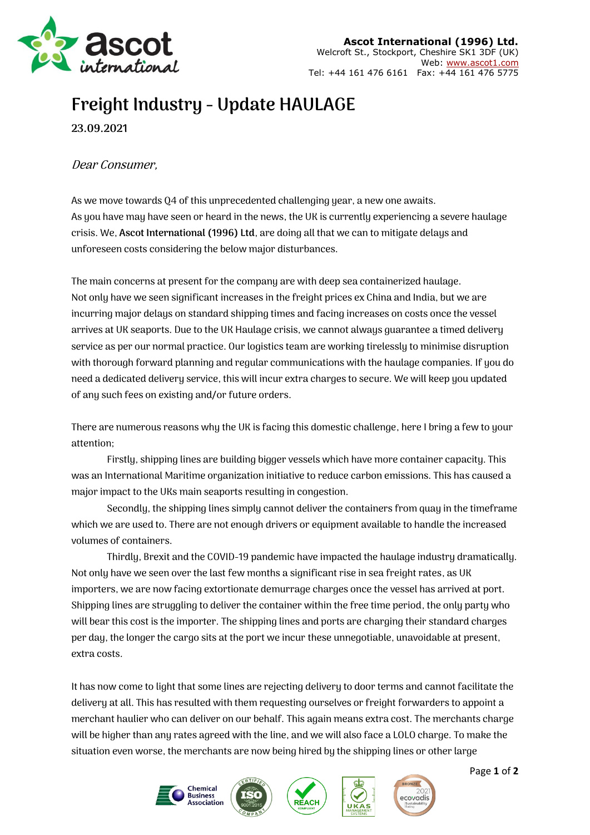

## **Freight Industry - Update HAULAGE**

**23.09.2021**

## Dear Consumer,

As we move towards Q4 of this unprecedented challenging year, a new one awaits. As you have may have seen or heard in the news, the UK is currently experiencing a severe haulage crisis. We, **Ascot International (1996) Ltd**, are doing all that we can to mitigate delays and unforeseen costs considering the below major disturbances.

The main concerns at present for the company are with deep sea containerized haulage. Not only have we seen significant increases in the freight prices ex China and India, but we are incurring major delays on standard shipping times and facing increases on costs once the vessel arrives at UK seaports. Due to the UK Haulage crisis, we cannot always guarantee a timed delivery service as per our normal practice. Our logistics team are working tirelessly to minimise disruption with thorough forward planning and regular communications with the haulage companies. If you do need a dedicated delivery service, this will incur extra charges to secure. We will keep you updated of any such fees on existing and/or future orders.

There are numerous reasons why the UK is facing this domestic challenge, here I bring a few to your attention;

Firstly, shipping lines are building bigger vessels which have more container capacity. This was an International Maritime organization initiative to reduce carbon emissions. This has caused a major impact to the UKs main seaports resulting in congestion.

Secondly, the shipping lines simply cannot deliver the containers from quay in the timeframe which we are used to. There are not enough drivers or equipment available to handle the increased volumes of containers.

Thirdly, Brexit and the COVID-19 pandemic have impacted the haulage industry dramatically. Not only have we seen over the last few months a significant rise in sea freight rates, as UK importers, we are now facing extortionate demurrage charges once the vessel has arrived at port. Shipping lines are struggling to deliver the container within the free time period, the only party who will bear this cost is the importer. The shipping lines and ports are charging their standard charges per day, the longer the cargo sits at the port we incur these unnegotiable, unavoidable at present, extra costs.

It has now come to light that some lines are rejecting delivery to door terms and cannot facilitate the delivery at all. This has resulted with them requesting ourselves or freight forwarders to appoint a merchant haulier who can deliver on our behalf. This again means extra cost. The merchants charge will be higher than any rates agreed with the line, and we will also face a LOLO charge. To make the situation even worse, the merchants are now being hired by the shipping lines or other large









Page **1** of **2**